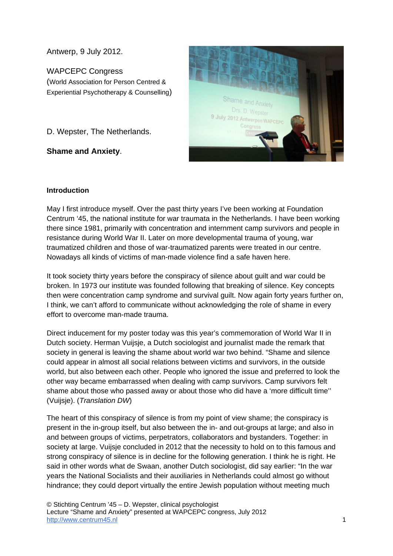Antwerp, 9 July 2012.

## WAPCEPC Congress

(World Association for Person Centred & Experiential Psychotherapy & Counselling)

D. Wepster, The Netherlands.

**Shame and Anxiety**.



## **Introduction**

May I first introduce myself. Over the past thirty years I've been working at Foundation Centrum '45, the national institute for war traumata in the Netherlands. I have been working there since 1981, primarily with concentration and internment camp survivors and people in resistance during World War II. Later on more developmental trauma of young, war traumatized children and those of war-traumatized parents were treated in our centre. Nowadays all kinds of victims of man-made violence find a safe haven here.

It took society thirty years before the conspiracy of silence about guilt and war could be broken. In 1973 our institute was founded following that breaking of silence. Key concepts then were concentration camp syndrome and survival guilt. Now again forty years further on, I think, we can't afford to communicate without acknowledging the role of shame in every effort to overcome man-made trauma.

Direct inducement for my poster today was this year's commemoration of World War II in Dutch society. Herman Vuijsje, a Dutch sociologist and journalist made the remark that society in general is leaving the shame about world war two behind. "Shame and silence could appear in almost all social relations between victims and survivors, in the outside world, but also between each other. People who ignored the issue and preferred to look the other way became embarrassed when dealing with camp survivors. Camp survivors felt shame about those who passed away or about those who did have a 'more difficult time'' (Vuijsje). (*Translation DW*)

The heart of this conspiracy of silence is from my point of view shame; the conspiracy is present in the in-group itself, but also between the in- and out-groups at large; and also in and between groups of victims, perpetrators, collaborators and bystanders. Together: in society at large. Vuijsje concluded in 2012 that the necessity to hold on to this famous and strong conspiracy of silence is in decline for the following generation. I think he is right. He said in other words what de Swaan, another Dutch sociologist, did say earlier: "In the war years the National Socialists and their auxiliaries in Netherlands could almost go without hindrance; they could deport virtually the entire Jewish population without meeting much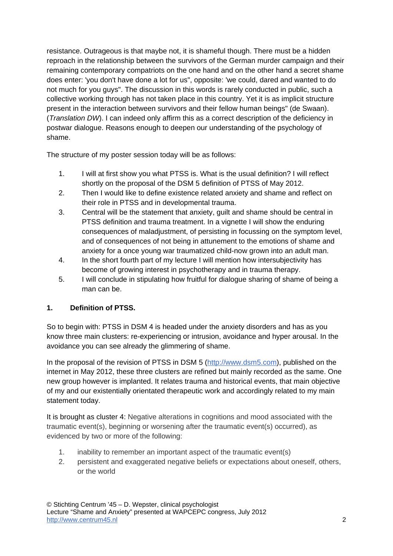resistance. Outrageous is that maybe not, it is shameful though. There must be a hidden reproach in the relationship between the survivors of the German murder campaign and their remaining contemporary compatriots on the one hand and on the other hand a secret shame does enter: 'you don't have done a lot for us", opposite: 'we could, dared and wanted to do not much for you guys". The discussion in this words is rarely conducted in public, such a collective working through has not taken place in this country. Yet it is as implicit structure present in the interaction between survivors and their fellow human beings" (de Swaan). (*Translation DW*). I can indeed only affirm this as a correct description of the deficiency in postwar dialogue. Reasons enough to deepen our understanding of the psychology of shame.

The structure of my poster session today will be as follows:

- 1. I will at first show you what PTSS is. What is the usual definition? I will reflect shortly on the proposal of the DSM 5 definition of PTSS of May 2012.
- 2. Then I would like to define existence related anxiety and shame and reflect on their role in PTSS and in developmental trauma.
- 3. Central will be the statement that anxiety, guilt and shame should be central in PTSS definition and trauma treatment. In a vignette I will show the enduring consequences of maladjustment, of persisting in focussing on the symptom level, and of consequences of not being in attunement to the emotions of shame and anxiety for a once young war traumatized child-now grown into an adult man.
- 4. In the short fourth part of my lecture I will mention how intersubjectivity has become of growing interest in psychotherapy and in trauma therapy.
- 5. I will conclude in stipulating how fruitful for dialogue sharing of shame of being a man can be.

# **1. Definition of PTSS.**

So to begin with: PTSS in DSM 4 is headed under the anxiety disorders and has as you know three main clusters: re-experiencing or intrusion, avoidance and hyper arousal. In the avoidance you can see already the glimmering of shame.

In the proposal of the revision of PTSS in DSM 5 (http://www.dsm5.com), published on the internet in May 2012, these three clusters are refined but mainly recorded as the same. One new group however is implanted. It relates trauma and historical events, that main objective of my and our existentially orientated therapeutic work and accordingly related to my main statement today.

It is brought as cluster 4: Negative alterations in cognitions and mood associated with the traumatic event(s), beginning or worsening after the traumatic event(s) occurred), as evidenced by two or more of the following:

- 1. inability to remember an important aspect of the traumatic event(s)
- 2. persistent and exaggerated negative beliefs or expectations about oneself, others, or the world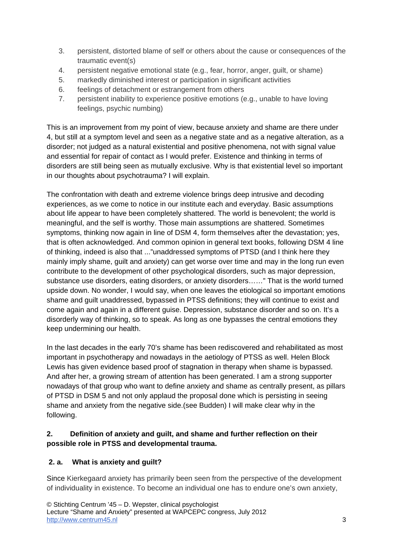- 3. persistent, distorted blame of self or others about the cause or consequences of the traumatic event(s)
- 4. persistent negative emotional state (e.g., fear, horror, anger, guilt, or shame)
- 5. markedly diminished interest or participation in significant activities
- 6. feelings of detachment or estrangement from others
- 7. persistent inability to experience positive emotions (e.g., unable to have loving feelings, psychic numbing)

This is an improvement from my point of view, because anxiety and shame are there under 4, but still at a symptom level and seen as a negative state and as a negative alteration, as a disorder; not judged as a natural existential and positive phenomena, not with signal value and essential for repair of contact as I would prefer. Existence and thinking in terms of disorders are still being seen as mutually exclusive. Why is that existential level so important in our thoughts about psychotrauma? I will explain.

The confrontation with death and extreme violence brings deep intrusive and decoding experiences, as we come to notice in our institute each and everyday. Basic assumptions about life appear to have been completely shattered. The world is benevolent; the world is meaningful, and the self is worthy. Those main assumptions are shattered. Sometimes symptoms, thinking now again in line of DSM 4, form themselves after the devastation; yes, that is often acknowledged. And common opinion in general text books, following DSM 4 line of thinking, indeed is also that ..."unaddressed symptoms of PTSD (and I think here they mainly imply shame, guilt and anxiety) can get worse over time and may in the long run even contribute to the development of other psychological disorders, such as major depression, substance use disorders, eating disorders, or anxiety disorders……" That is the world turned upside down. No wonder, I would say, when one leaves the etiological so important emotions shame and guilt unaddressed, bypassed in PTSS definitions; they will continue to exist and come again and again in a different guise. Depression, substance disorder and so on. It's a disorderly way of thinking, so to speak. As long as one bypasses the central emotions they keep undermining our health.

In the last decades in the early 70's shame has been rediscovered and rehabilitated as most important in psychotherapy and nowadays in the aetiology of PTSS as well. Helen Block Lewis has given evidence based proof of stagnation in therapy when shame is bypassed. And after her, a growing stream of attention has been generated. I am a strong supporter nowadays of that group who want to define anxiety and shame as centrally present, as pillars of PTSD in DSM 5 and not only applaud the proposal done which is persisting in seeing shame and anxiety from the negative side.(see Budden) I will make clear why in the following.

# **2. Definition of anxiety and guilt, and shame and further reflection on their possible role in PTSS and developmental trauma.**

# **2. a. What is anxiety and guilt?**

Since Kierkegaard anxiety has primarily been seen from the perspective of the development of individuality in existence. To become an individual one has to endure one's own anxiety,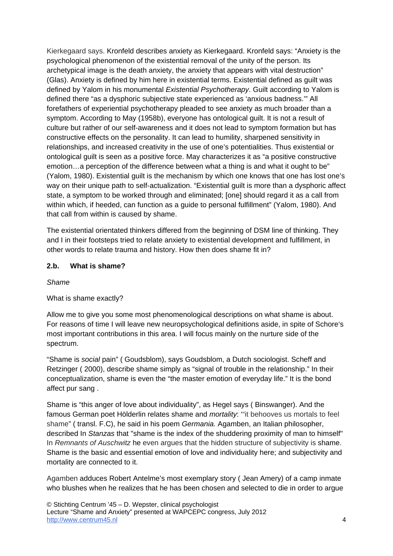Kierkegaard says. Kronfeld describes anxiety as Kierkegaard. Kronfeld says: "Anxiety is the psychological phenomenon of the existential removal of the unity of the person. Its archetypical image is the death anxiety, the anxiety that appears with vital destruction" (Glas). Anxiety is defined by him here in existential terms. Existential defined as guilt was defined by Yalom in his monumental *Existential Psychotherapy*. Guilt according to Yalom is defined there "as a dysphoric subjective state experienced as 'anxious badness.'" All forefathers of experiential psychotherapy pleaded to see anxiety as much broader than a symptom. According to May (1958b), everyone has ontological guilt. It is not a result of culture but rather of our self-awareness and it does not lead to symptom formation but has constructive effects on the personality. It can lead to humility, sharpened sensitivity in relationships, and increased creativity in the use of one's potentialities. Thus existential or ontological guilt is seen as a positive force. May characterizes it as "a positive constructive emotion…a perception of the difference between what a thing is and what it ought to be" (Yalom, 1980). Existential guilt is the mechanism by which one knows that one has lost one's way on their unique path to self-actualization. "Existential guilt is more than a dysphoric affect state, a symptom to be worked through and eliminated; [one] should regard it as a call from within which, if heeded, can function as a guide to personal fulfillment" (Yalom, 1980). And that call from within is caused by shame.

The existential orientated thinkers differed from the beginning of DSM line of thinking. They and I in their footsteps tried to relate anxiety to existential development and fulfillment, in other words to relate trauma and history. How then does shame fit in?

### **2.b. What is shame?**

### *Shame*

### What is shame exactly?

Allow me to give you some most phenomenological descriptions on what shame is about. For reasons of time I will leave new neuropsychological definitions aside, in spite of Schore's most important contributions in this area. I will focus mainly on the nurture side of the spectrum.

"Shame is *social* pain" ( Goudsblom), says Goudsblom, a Dutch sociologist. Scheff and Retzinger ( 2000), describe shame simply as "signal of trouble in the relationship." In their conceptualization, shame is even the "the master emotion of everyday life." It is the bond affect pur sang .

Shame is "this anger of love about individuality", as Hegel says ( Binswanger). And the famous German poet Hölderlin relates shame and *mortality*: '"it behooves us mortals to feel shame" ( transl. F.C), he said in his poem *Germania.* Agamben, an Italian philosopher, described In *Stanzas* that "shame is the index of the shuddering proximity of man to himself" In *Remnants of Auschwitz* he even argues that the hidden structure of subjectivity is shame. Shame is the basic and essential emotion of love and individuality here; and subjectivity and mortality are connected to it.

Agamben adduces Robert Antelme's most exemplary story ( Jean Amery) of a camp inmate who blushes when he realizes that he has been chosen and selected to die in order to argue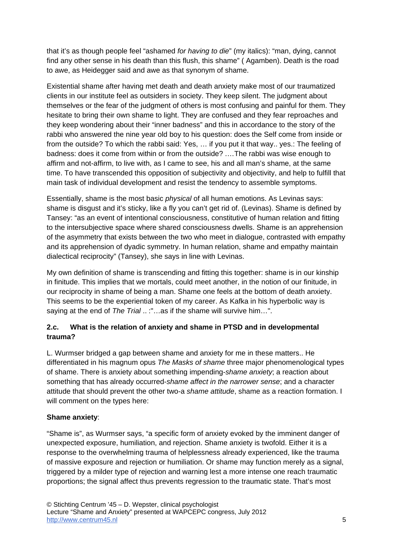that it's as though people feel "ashamed *for having to die*" (my italics): "man, dying, cannot find any other sense in his death than this flush, this shame" ( Agamben). Death is the road to awe, as Heidegger said and awe as that synonym of shame.

Existential shame after having met death and death anxiety make most of our traumatized clients in our institute feel as outsiders in society. They keep silent. The judgment about themselves or the fear of the judgment of others is most confusing and painful for them. They hesitate to bring their own shame to light. They are confused and they fear reproaches and they keep wondering about their "inner badness" and this in accordance to the story of the rabbi who answered the nine year old boy to his question: does the Self come from inside or from the outside? To which the rabbi said: Yes, … if you put it that way.. yes.: The feeling of badness: does it come from within or from the outside? .…The rabbi was wise enough to affirm and not-affirm, to live with, as I came to see, his and all man's shame, at the same time. To have transcended this opposition of subjectivity and objectivity, and help to fulfill that main task of individual development and resist the tendency to assemble symptoms.

Essentially, shame is the most basic *physical* of all human emotions. As Levinas says: shame is disgust and it's sticky, like a fly you can't get rid of. (Levinas). Shame is defined by Tansey: "as an event of intentional consciousness, constitutive of human relation and fitting to the intersubjective space where shared consciousness dwells. Shame is an apprehension of the asymmetry that exists between the two who meet in dialogue, contrasted with empathy and its apprehension of dyadic symmetry. In human relation, shame and empathy maintain dialectical reciprocity" (Tansey), she says in line with Levinas.

My own definition of shame is transcending and fitting this together: shame is in our kinship in finitude. This implies that we mortals, could meet another, in the notion of our finitude, in our reciprocity in shame of being a man. Shame one feels at the bottom of death anxiety. This seems to be the experiential token of my career. As Kafka in his hyperbolic way is saying at the end of *The Trial* .. :"…as if the shame will survive him…".

# **2.c. What is the relation of anxiety and shame in PTSD and in developmental trauma?**

L. Wurmser bridged a gap between shame and anxiety for me in these matters.. He differentiated in his magnum opus *The Masks of shame* three major phenomenological types of shame. There is anxiety about something impending-*shame anxiety*; a reaction about something that has already occurred-*shame affect in the narrower sense*; and a character attitude that should prevent the other two-a *shame attitude*, shame as a reaction formation. I will comment on the types here:

# **Shame anxiety**:

"Shame is", as Wurmser says, "a specific form of anxiety evoked by the imminent danger of unexpected exposure, humiliation, and rejection. Shame anxiety is twofold. Either it is a response to the overwhelming trauma of helplessness already experienced, like the trauma of massive exposure and rejection or humiliation. Or shame may function merely as a signal, triggered by a milder type of rejection and warning lest a more intense one reach traumatic proportions; the signal affect thus prevents regression to the traumatic state. That's most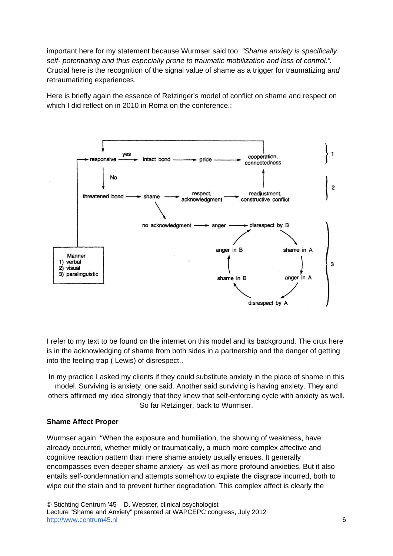important here for my statement because Wurmser said too: *"Shame anxiety is specifically self- potentiating and thus especially prone to traumatic mobilization and loss of control.".* Crucial here is the recognition of the signal value of shame as a trigger for traumatizing *and* retraumatizing experiences.

Here is briefly again the essence of Retzinger's model of conflict on shame and respect on which I did reflect on in 2010 in Roma on the conference.:



I refer to my text to be found on the internet on this model and its background. The crux here is in the acknowledging of shame from both sides in a partnership and the danger of getting into the feeling trap ( Lewis) of disrespect..

In my practice I asked my clients if they could substitute anxiety in the place of shame in this model. Surviving is anxiety, one said. Another said surviving is having anxiety. They and others affirmed my idea strongly that they knew that self-enforcing cycle with anxiety as well. So far Retzinger, back to Wurmser.

### **Shame Affect Proper**

Wurmser again: "When the exposure and humiliation, the showing of weakness, have already occurred, whether mildly or traumatically, a much more complex affective and cognitive reaction pattern than mere shame anxiety usually ensues. It generally encompasses even deeper shame anxiety- as well as more profound anxieties. But it also entails self-condemnation and attempts somehow to expiate the disgrace incurred, both to wipe out the stain and to prevent further degradation. This complex affect is clearly the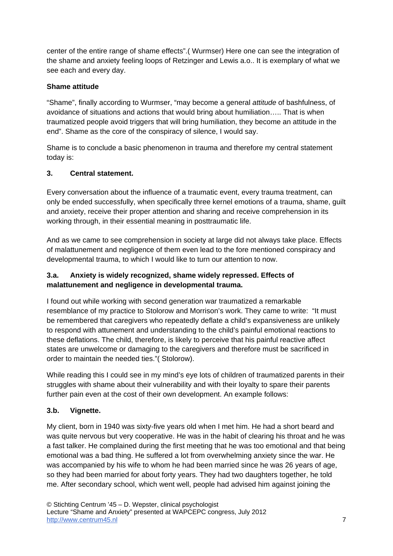center of the entire range of shame effects".( Wurmser) Here one can see the integration of the shame and anxiety feeling loops of Retzinger and Lewis a.o.. It is exemplary of what we see each and every day.

## **Shame attitude**

"Shame", finally according to Wurmser, "may become a general *attitude* of bashfulness, of avoidance of situations and actions that would bring about humiliation….. That is when traumatized people avoid triggers that will bring humiliation, they become an attitude in the end". Shame as the core of the conspiracy of silence, I would say.

Shame is to conclude a basic phenomenon in trauma and therefore my central statement today is:

## **3. Central statement.**

Every conversation about the influence of a traumatic event, every trauma treatment, can only be ended successfully, when specifically three kernel emotions of a trauma, shame, guilt and anxiety, receive their proper attention and sharing and receive comprehension in its working through, in their essential meaning in posttraumatic life.

And as we came to see comprehension in society at large did not always take place. Effects of malattunement and negligence of them even lead to the fore mentioned conspiracy and developmental trauma, to which I would like to turn our attention to now.

## **3.a. Anxiety is widely recognized, shame widely repressed. Effects of malattunement and negligence in developmental trauma.**

I found out while working with second generation war traumatized a remarkable resemblance of my practice to Stolorow and Morrison's work. They came to write: "It must be remembered that caregivers who repeatedly deflate a child's expansiveness are unlikely to respond with attunement and understanding to the child's painful emotional reactions to these deflations. The child, therefore, is likely to perceive that his painful reactive affect states are unwelcome or damaging to the caregivers and therefore must be sacrificed in order to maintain the needed ties."( Stolorow).

While reading this I could see in my mind's eye lots of children of traumatized parents in their struggles with shame about their vulnerability and with their loyalty to spare their parents further pain even at the cost of their own development. An example follows:

# **3.b. Vignette.**

My client, born in 1940 was sixty-five years old when I met him. He had a short beard and was quite nervous but very cooperative. He was in the habit of clearing his throat and he was a fast talker. He complained during the first meeting that he was too emotional and that being emotional was a bad thing. He suffered a lot from overwhelming anxiety since the war. He was accompanied by his wife to whom he had been married since he was 26 years of age, so they had been married for about forty years. They had two daughters together, he told me. After secondary school, which went well, people had advised him against joining the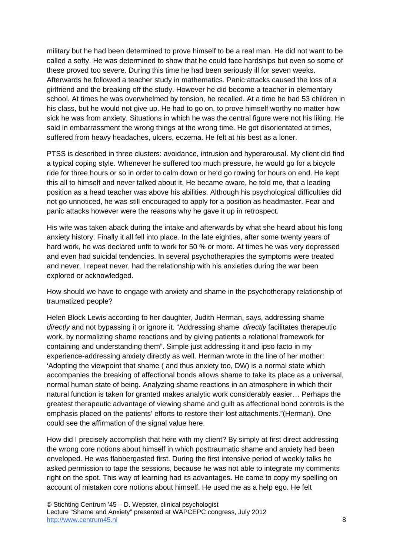military but he had been determined to prove himself to be a real man. He did not want to be called a softy. He was determined to show that he could face hardships but even so some of these proved too severe. During this time he had been seriously ill for seven weeks. Afterwards he followed a teacher study in mathematics. Panic attacks caused the loss of a girlfriend and the breaking off the study. However he did become a teacher in elementary school. At times he was overwhelmed by tension, he recalled. At a time he had 53 children in his class, but he would not give up. He had to go on, to prove himself worthy no matter how sick he was from anxiety. Situations in which he was the central figure were not his liking. He said in embarrassment the wrong things at the wrong time. He got disorientated at times, suffered from heavy headaches, ulcers, eczema. He felt at his best as a loner.

PTSS is described in three clusters: avoidance, intrusion and hyperarousal. My client did find a typical coping style. Whenever he suffered too much pressure, he would go for a bicycle ride for three hours or so in order to calm down or he'd go rowing for hours on end. He kept this all to himself and never talked about it. He became aware, he told me, that a leading position as a head teacher was above his abilities. Although his psychological difficulties did not go unnoticed, he was still encouraged to apply for a position as headmaster. Fear and panic attacks however were the reasons why he gave it up in retrospect.

His wife was taken aback during the intake and afterwards by what she heard about his long anxiety history. Finally it all fell into place. In the late eighties, after some twenty years of hard work, he was declared unfit to work for 50 % or more. At times he was very depressed and even had suicidal tendencies. In several psychotherapies the symptoms were treated and never, I repeat never, had the relationship with his anxieties during the war been explored or acknowledged.

How should we have to engage with anxiety and shame in the psychotherapy relationship of traumatized people?

Helen Block Lewis according to her daughter, Judith Herman, says, addressing shame *directly* and not bypassing it or ignore it. "Addressing shame *directly* facilitates therapeutic work, by normalizing shame reactions and by giving patients a relational framework for containing and understanding them". Simple just addressing it and ipso facto in my experience-addressing anxiety directly as well. Herman wrote in the line of her mother: 'Adopting the viewpoint that shame ( and thus anxiety too, DW) is a normal state which accompanies the breaking of affectional bonds allows shame to take its place as a universal, normal human state of being. Analyzing shame reactions in an atmosphere in which their natural function is taken for granted makes analytic work considerably easier… Perhaps the greatest therapeutic advantage of viewing shame and guilt as affectional bond controls is the emphasis placed on the patients' efforts to restore their lost attachments."(Herman). One could see the affirmation of the signal value here.

How did I precisely accomplish that here with my client? By simply at first direct addressing the wrong core notions about himself in which posttraumatic shame and anxiety had been enveloped. He was flabbergasted first. During the first intensive period of weekly talks he asked permission to tape the sessions, because he was not able to integrate my comments right on the spot. This way of learning had its advantages. He came to copy my spelling on account of mistaken core notions about himself. He used me as a help ego. He felt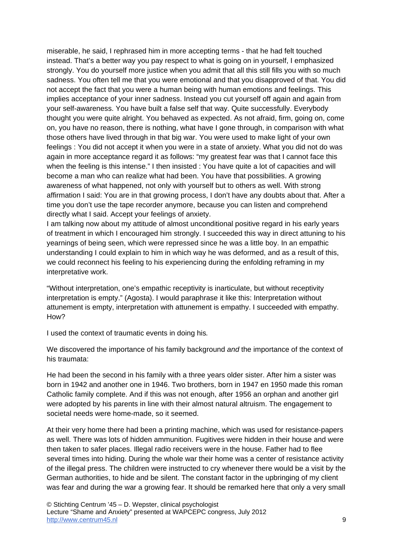miserable, he said, I rephrased him in more accepting terms - that he had felt touched instead. That's a better way you pay respect to what is going on in yourself, I emphasized strongly. You do yourself more justice when you admit that all this still fills you with so much sadness. You often tell me that you were emotional and that you disapproved of that. You did not accept the fact that you were a human being with human emotions and feelings. This implies acceptance of your inner sadness. Instead you cut yourself off again and again from your self-awareness. You have built a false self that way. Quite successfully. Everybody thought you were quite alright. You behaved as expected. As not afraid, firm, going on, come on, you have no reason, there is nothing, what have I gone through, in comparison with what those others have lived through in that big war. You were used to make light of your own feelings : You did not accept it when you were in a state of anxiety. What you did not do was again in more acceptance regard it as follows: "my greatest fear was that I cannot face this when the feeling is this intense." I then insisted : You have quite a lot of capacities and will become a man who can realize what had been. You have that possibilities. A growing awareness of what happened, not only with yourself but to others as well. With strong affirmation I said: You are in that growing process, I don't have any doubts about that. After a time you don't use the tape recorder anymore, because you can listen and comprehend directly what I said. Accept your feelings of anxiety.

I am talking now about my attitude of almost unconditional positive regard in his early years of treatment in which I encouraged him strongly. I succeeded this way in direct attuning to his yearnings of being seen, which were repressed since he was a little boy. In an empathic understanding I could explain to him in which way he was deformed, and as a result of this, we could reconnect his feeling to his experiencing during the enfolding reframing in my interpretative work.

"Without interpretation, one's empathic receptivity is inarticulate, but without receptivity interpretation is empty." (Agosta). I would paraphrase it like this: Interpretation without attunement is empty, interpretation with attunement is empathy. I succeeded with empathy. How?

I used the context of traumatic events in doing his*.*

We discovered the importance of his family background *and* the importance of the context of his traumata:

He had been the second in his family with a three years older sister. After him a sister was born in 1942 and another one in 1946. Two brothers, born in 1947 en 1950 made this roman Catholic family complete. And if this was not enough, after 1956 an orphan and another girl were adopted by his parents in line with their almost natural altruism. The engagement to societal needs were home-made, so it seemed.

At their very home there had been a printing machine, which was used for resistance-papers as well. There was lots of hidden ammunition. Fugitives were hidden in their house and were then taken to safer places. Illegal radio receivers were in the house. Father had to flee several times into hiding. During the whole war their home was a center of resistance activity of the illegal press. The children were instructed to cry whenever there would be a visit by the German authorities, to hide and be silent. The constant factor in the upbringing of my client was fear and during the war a growing fear. It should be remarked here that only a very small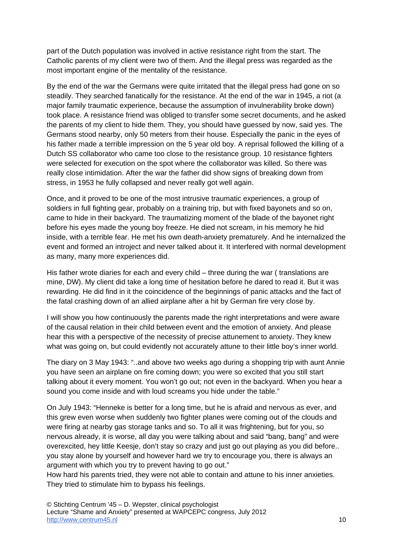part of the Dutch population was involved in active resistance right from the start. The Catholic parents of my client were two of them. And the illegal press was regarded as the most important engine of the mentality of the resistance.

By the end of the war the Germans were quite irritated that the illegal press had gone on so steadily. They searched fanatically for the resistance. At the end of the war in 1945, a riot (a major family traumatic experience, because the assumption of invulnerability broke down) took place. A resistance friend was obliged to transfer some secret documents, and he asked the parents of my client to hide them. They, you should have guessed by now, said yes. The Germans stood nearby, only 50 meters from their house. Especially the panic in the eyes of his father made a terrible impression on the 5 year old boy. A reprisal followed the killing of a Dutch SS collaborator who came too close to the resistance group. 10 resistance fighters were selected for execution on the spot where the collaborator was killed. So there was really close intimidation. After the war the father did show signs of breaking down from stress, in 1953 he fully collapsed and never really got well again.

Once, and it proved to be one of the most intrusive traumatic experiences, a group of soldiers in full fighting gear, probably on a training trip, but with fixed bayonets and so on, came to hide in their backyard. The traumatizing moment of the blade of the bayonet right before his eyes made the young boy freeze. He died not scream, in his memory he hid inside, with a terrible fear. He met his own death-anxiety prematurely. And he internalized the event and formed an introject and never talked about it. It interfered with normal development as many, many more experiences did.

His father wrote diaries for each and every child – three during the war ( translations are mine, DW). My client did take a long time of hesitation before he dared to read it. But it was rewarding. He did find in it the coincidence of the beginnings of panic attacks and the fact of the fatal crashing down of an allied airplane after a hit by German fire very close by.

I will show you how continuously the parents made the right interpretations and were aware of the causal relation in their child between event and the emotion of anxiety. And please hear this with a perspective of the necessity of precise attunement to anxiety. They knew what was going on, but could evidently not accurately attune to their little boy's inner world.

The diary on 3 May 1943: "..and above two weeks ago during a shopping trip with aunt Annie you have seen an airplane on fire coming down; you were so excited that you still start talking about it every moment. You won't go out; not even in the backyard. When you hear a sound you come inside and with loud screams you hide under the table."

On July 1943: "Henneke is better for a long time, but he is afraid and nervous as ever, and this grew even worse when suddenly two fighter planes were coming out of the clouds and were firing at nearby gas storage tanks and so. To all it was frightening, but for you, so nervous already, it is worse, all day you were talking about and said "bang, bang" and were overexcited, hey little Keesje, don't stay so crazy and just go out playing as you did before.. you stay alone by yourself and however hard we try to encourage you, there is always an argument with which you try to prevent having to go out."

How hard his parents tried, they were not able to contain and attune to his inner anxieties. They tried to stimulate him to bypass his feelings.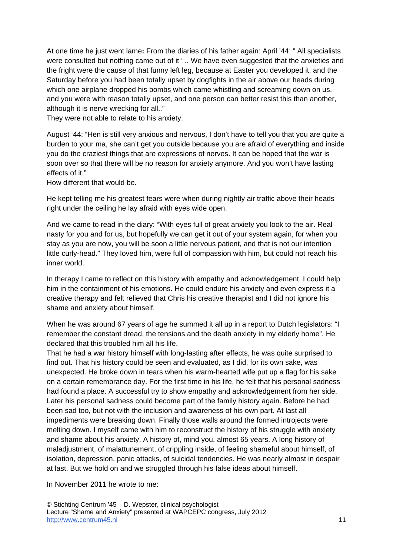At one time he just went lame**:** From the diaries of his father again: April '44: " All specialists were consulted but nothing came out of it ' .. We have even suggested that the anxieties and the fright were the cause of that funny left leg, because at Easter you developed it, and the Saturday before you had been totally upset by dogfights in the air above our heads during which one airplane dropped his bombs which came whistling and screaming down on us, and you were with reason totally upset, and one person can better resist this than another, although it is nerve wrecking for all.."

They were not able to relate to his anxiety.

August '44: "Hen is still very anxious and nervous, I don't have to tell you that you are quite a burden to your ma, she can't get you outside because you are afraid of everything and inside you do the craziest things that are expressions of nerves. It can be hoped that the war is soon over so that there will be no reason for anxiety anymore. And you won't have lasting effects of it."

How different that would be.

He kept telling me his greatest fears were when during nightly air traffic above their heads right under the ceiling he lay afraid with eyes wide open.

And we came to read in the diary: "With eyes full of great anxiety you look to the air. Real nasty for you and for us, but hopefully we can get it out of your system again, for when you stay as you are now, you will be soon a little nervous patient, and that is not our intention little curly-head." They loved him, were full of compassion with him, but could not reach his inner world.

In therapy I came to reflect on this history with empathy and acknowledgement. I could help him in the containment of his emotions. He could endure his anxiety and even express it a creative therapy and felt relieved that Chris his creative therapist and I did not ignore his shame and anxiety about himself.

When he was around 67 years of age he summed it all up in a report to Dutch legislators: "I remember the constant dread, the tensions and the death anxiety in my elderly home". He declared that this troubled him all his life.

That he had a war history himself with long-lasting after effects, he was quite surprised to find out. That his history could be seen and evaluated, as I did, for its own sake, was unexpected. He broke down in tears when his warm-hearted wife put up a flag for his sake on a certain remembrance day. For the first time in his life, he felt that his personal sadness had found a place. A successful try to show empathy and acknowledgement from her side. Later his personal sadness could become part of the family history again. Before he had been sad too, but not with the inclusion and awareness of his own part. At last all impediments were breaking down. Finally those walls around the formed introjects were melting down. I myself came with him to reconstruct the history of his struggle with anxiety and shame about his anxiety. A history of, mind you, almost 65 years. A long history of maladjustment, of malattunement, of crippling inside, of feeling shameful about himself, of isolation, depression, panic attacks, of suicidal tendencies. He was nearly almost in despair at last. But we hold on and we struggled through his false ideas about himself.

In November 2011 he wrote to me: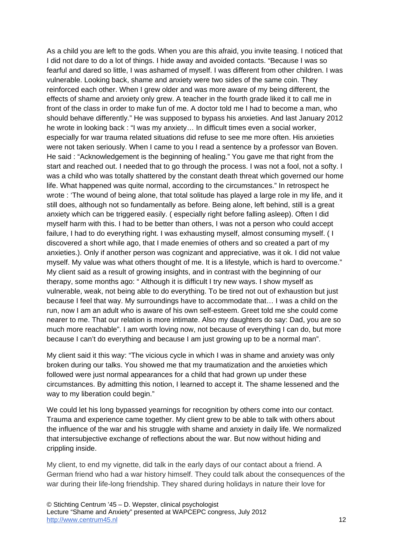As a child you are left to the gods. When you are this afraid, you invite teasing. I noticed that I did not dare to do a lot of things. I hide away and avoided contacts. "Because I was so fearful and dared so little, I was ashamed of myself. I was different from other children. I was vulnerable. Looking back, shame and anxiety were two sides of the same coin. They reinforced each other. When I grew older and was more aware of my being different, the effects of shame and anxiety only grew. A teacher in the fourth grade liked it to call me in front of the class in order to make fun of me. A doctor told me I had to become a man, who should behave differently." He was supposed to bypass his anxieties. And last January 2012 he wrote in looking back : "I was my anxiety… In difficult times even a social worker, especially for war trauma related situations did refuse to see me more often. His anxieties were not taken seriously. When I came to you I read a sentence by a professor van Boven. He said : "Acknowledgement is the beginning of healing." You gave me that right from the start and reached out. I needed that to go through the process. I was not a fool, not a softy. I was a child who was totally shattered by the constant death threat which governed our home life. What happened was quite normal, according to the circumstances." In retrospect he wrote : 'The wound of being alone, that total solitude has played a large role in my life, and it still does, although not so fundamentally as before. Being alone, left behind, still is a great anxiety which can be triggered easily. ( especially right before falling asleep). Often I did myself harm with this. I had to be better than others, I was not a person who could accept failure, I had to do everything right. I was exhausting myself, almost consuming myself. ( I discovered a short while ago, that I made enemies of others and so created a part of my anxieties.). Only if another person was cognizant and appreciative, was it ok. I did not value myself. My value was what others thought of me. It is a lifestyle, which is hard to overcome." My client said as a result of growing insights, and in contrast with the beginning of our therapy, some months ago: " Although it is difficult I try new ways. I show myself as vulnerable, weak, not being able to do everything. To be tired not out of exhaustion but just because I feel that way. My surroundings have to accommodate that… I was a child on the run, now I am an adult who is aware of his own self-esteem. Greet told me she could come nearer to me. That our relation is more intimate. Also my daughters do say: Dad, you are so much more reachable". I am worth loving now, not because of everything I can do, but more because I can't do everything and because I am just growing up to be a normal man".

My client said it this way: "The vicious cycle in which I was in shame and anxiety was only broken during our talks. You showed me that my traumatization and the anxieties which followed were just normal appearances for a child that had grown up under these circumstances. By admitting this notion, I learned to accept it. The shame lessened and the way to my liberation could begin."

We could let his long bypassed yearnings for recognition by others come into our contact. Trauma and experience came together. My client grew to be able to talk with others about the influence of the war and his struggle with shame and anxiety in daily life. We normalized that intersubjective exchange of reflections about the war. But now without hiding and crippling inside.

My client, to end my vignette, did talk in the early days of our contact about a friend. A German friend who had a war history himself. They could talk about the consequences of the war during their life-long friendship. They shared during holidays in nature their love for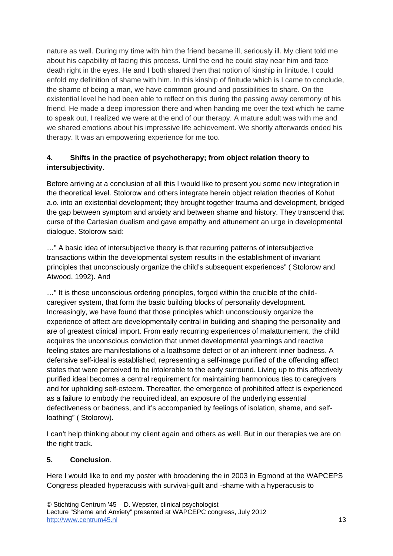nature as well. During my time with him the friend became ill, seriously ill. My client told me about his capability of facing this process. Until the end he could stay near him and face death right in the eyes. He and I both shared then that notion of kinship in finitude. I could enfold my definition of shame with him. In this kinship of finitude which is I came to conclude, the shame of being a man, we have common ground and possibilities to share. On the existential level he had been able to reflect on this during the passing away ceremony of his friend. He made a deep impression there and when handing me over the text which he came to speak out, I realized we were at the end of our therapy. A mature adult was with me and we shared emotions about his impressive life achievement. We shortly afterwards ended his therapy. It was an empowering experience for me too.

# **4. Shifts in the practice of psychotherapy; from object relation theory to intersubjectivity**.

Before arriving at a conclusion of all this I would like to present you some new integration in the theoretical level. Stolorow and others integrate herein object relation theories of Kohut a.o. into an existential development; they brought together trauma and development, bridged the gap between symptom and anxiety and between shame and history. They transcend that curse of the Cartesian dualism and gave empathy and attunement an urge in developmental dialogue. Stolorow said:

…" A basic idea of intersubjective theory is that recurring patterns of intersubjective transactions within the developmental system results in the establishment of invariant principles that unconsciously organize the child's subsequent experiences" ( Stolorow and Atwood, 1992). And

…" It is these unconscious ordering principles, forged within the crucible of the childcaregiver system, that form the basic building blocks of personality development. Increasingly, we have found that those principles which unconsciously organize the experience of affect are developmentally central in building and shaping the personality and are of greatest clinical import. From early recurring experiences of malattunement, the child acquires the unconscious conviction that unmet developmental yearnings and reactive feeling states are manifestations of a loathsome defect or of an inherent inner badness. A defensive self-ideal is established, representing a self-image purified of the offending affect states that were perceived to be intolerable to the early surround. Living up to this affectively purified ideal becomes a central requirement for maintaining harmonious ties to caregivers and for upholding self-esteem. Thereafter, the emergence of prohibited affect is experienced as a failure to embody the required ideal, an exposure of the underlying essential defectiveness or badness, and it's accompanied by feelings of isolation, shame, and selfloathing" ( Stolorow).

I can't help thinking about my client again and others as well. But in our therapies we are on the right track.

# **5. Conclusion**.

Here I would like to end my poster with broadening the in 2003 in Egmond at the WAPCEPS Congress pleaded hyperacusis with survival-guilt and -shame with a hyperacusis to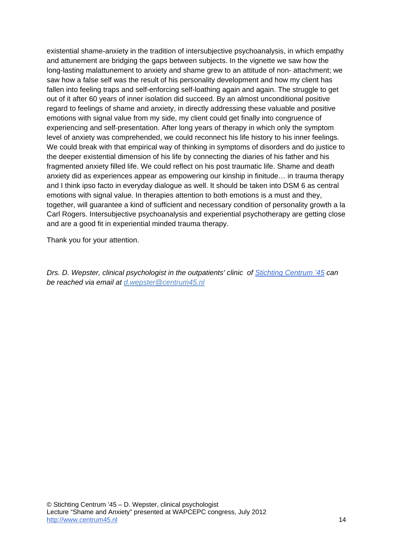existential shame-anxiety in the tradition of intersubjective psychoanalysis, in which empathy and attunement are bridging the gaps between subjects. In the vignette we saw how the long-lasting malattunement to anxiety and shame grew to an attitude of non- attachment; we saw how a false self was the result of his personality development and how my client has fallen into feeling traps and self-enforcing self-loathing again and again. The struggle to get out of it after 60 years of inner isolation did succeed. By an almost unconditional positive regard to feelings of shame and anxiety, in directly addressing these valuable and positive emotions with signal value from my side, my client could get finally into congruence of experiencing and self-presentation. After long years of therapy in which only the symptom level of anxiety was comprehended, we could reconnect his life history to his inner feelings. We could break with that empirical way of thinking in symptoms of disorders and do justice to the deeper existential dimension of his life by connecting the diaries of his father and his fragmented anxiety filled life. We could reflect on his post traumatic life. Shame and death anxiety did as experiences appear as empowering our kinship in finitude… in trauma therapy and I think ipso facto in everyday dialogue as well. It should be taken into DSM 6 as central emotions with signal value. In therapies attention to both emotions is a must and they, together, will guarantee a kind of sufficient and necessary condition of personality growth a la Carl Rogers. Intersubjective psychoanalysis and experiential psychotherapy are getting close and are a good fit in experiential minded trauma therapy.

Thank you for your attention.

*Drs. D. Wepster, clinical psychologist in the outpatients' clinic of Stichting Centrum '45 can be reached via email at d.wepster@centrum45.nl*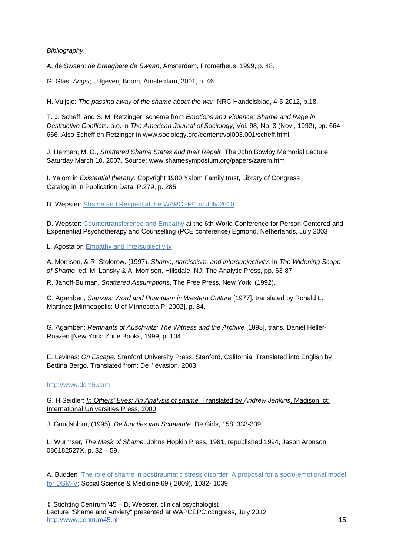### *Bibliography*:

A. de Swaan: *de Draagbare de Swaan*, Amsterdam, Prometheus, 1999, p. 48.

G. Glas: *Angst*; Uitgeverij Boom, Amsterdam, 2001, p. 46.

H. Vuijsje: *The passing away of the shame about the war*; NRC Handelsblad, 4-5-2012, p.18.

T. J. Scheff; and S. M. Retzinger, scheme from *Emotions and Violence: Shame and Rage in Destructive Conflicts.* a.o. in *The American Journal of Sociology*, Vol. 98, No. 3 (Nov., 1992), pp. 664- 666. Also Scheff en Retzinger in www.sociology.org/content/vol003.001/scheff.html

J. Herman, M. D., *Shattered Shame States and their Repair*, The John Bowlby Memorial Lecture, Saturday March 10, 2007. Source: www.shamesymposium.org/papers/zarem.htm

I. Yalom in *Existential therapy,* Copyright 1980 Yalom Family trust, Library of Congress Catalog in in Publication Data. P.279, p. 285.

D. Wepster: [Shame and Respect at the WAPCEPC of July 2010](http://www.centrum45.nl/assets/Image/CONT/L/lezing_dirk_wepster_shame_and_respect_wapcepc_juli_2010_rome.pdf) 

D. Wepster: [Countertransference and Empathy](http://www.centrum45.nl/assets/Image/CONT/L/lezing_on_countertransference_and_empathy.pdf) at the 6th World Conference for Person-Centered and Experiential Psychotherapy and Counselling (PCE conference) Egmond, Netherlands, July 2003

L. Agosta on [Empathy and Intersubjectivity](http://empathyinthecontextofphilosophy.files.wordpress.com/2010/01/empathyintersubjectivitybyagosta.pdf) 

A. Morrison, & R. Stolorow. (1997). *Shame, narcissism, and intersubjectivity*. In *The Widening Scope of Shame*, ed. M. Lansky & A. Morrison. Hillsdale, NJ: The Analytic Press, pp. 63-87.

R. Janoff-Bulman, *Shattered Assumptions*, The Free Press, New York, (1992).

G. Agamben, *Stanzas: Word and Phantasm in Western Culture* [1977], translated by Ronald L. Martinez [Minneapolis: U of Minnesota P, 2002], p. 84.

G. Agamben: *Remnants of Auschwitz: The Witness and the Archive* [1998], trans. Daniel Heller-Roazen [New York: Zone Books, 1999] p. 104.

E. Levinas: *On Escape*, Stanford University Press, Stanford, California, Translated into English by Bettina Bergo. Translated from: De l' évasion, 2003.

#### http://www.dsm5.com

G. H.Seidler: *In Others' Eyes: An Analysis of shame,* Translated by *Andrew Jenkins*. Madison, ct: International Universities Press, 2000

J. Goudsblom, (1995). *De functies van Schaamte*. De Gids, 158, 333-339.

L. Wurmser, *The Mask of Shame,* Johns Hopkin Press, 1981, republished 1994, Jason Aronson. 080182527X, p. 32 – 59.

[A. Budden The role of shame in posttraumatic stress disorder: A proposal for a socio-emotional model](http://ucsd.academia.edu/AshwinBudden/Papers/127235/The_role_of_shame_in_posttraumatic_stress_disorder_A_proposal_for_a_socio-emotional_model_for_DSM-V)  for DSM-V; Social Science & Medicine 69 ( 2009), 1032- 1039.

© Stichting Centrum '45 – D. Wepster, clinical psychologist Lecture "Shame and Anxiety" presented at WAPCEPC congress, July 2012 http://www.centrum45.nl 15